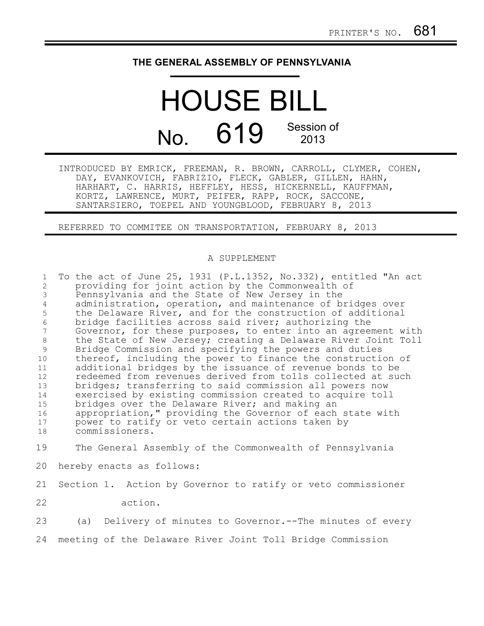## **THE GENERAL ASSEMBLY OF PENNSYLVANIA**

## HOUSE BILL No. 619 Session of 2013

INTRODUCED BY EMRICK, FREEMAN, R. BROWN, CARROLL, CLYMER, COHEN, DAY, EVANKOVICH, FABRIZIO, FLECK, GABLER, GILLEN, HAHN, HARHART, C. HARRIS, HEFFLEY, HESS, HICKERNELL, KAUFFMAN, KORTZ, LAWRENCE, MURT, PEIFER, RAPP, ROCK, SACCONE, SANTARSIERO, TOEPEL AND YOUNGBLOOD, FEBRUARY 8, 2013

REFERRED TO COMMITEE ON TRANSPORTATION, FEBRUARY 8, 2013

## A SUPPLEMENT

| $\mathbf{1}$   | To the act of June 25, 1931 (P.L.1352, No.332), entitled "An act |
|----------------|------------------------------------------------------------------|
| $\overline{2}$ | providing for joint action by the Commonwealth of                |
| 3              | Pennsylvania and the State of New Jersey in the                  |
| 4              | administration, operation, and maintenance of bridges over       |
| 5              | the Delaware River, and for the construction of additional       |
| 6              | bridge facilities across said river; authorizing the             |
| 7              | Governor, for these purposes, to enter into an agreement with    |
| 8              | the State of New Jersey; creating a Delaware River Joint Toll    |
| 9              | Bridge Commission and specifying the powers and duties           |
| 10             | thereof, including the power to finance the construction of      |
| 11             | additional bridges by the issuance of revenue bonds to be        |
| 12             | redeemed from revenues derived from tolls collected at such      |
| 13             | bridges; transferring to said commission all powers now          |
| 14             | exercised by existing commission created to acquire toll         |
| 15             | bridges over the Delaware River; and making an                   |
| 16             | appropriation," providing the Governor of each state with        |
| 17             | power to ratify or veto certain actions taken by                 |
| 18             | commissioners.                                                   |
|                |                                                                  |
| 19             | The General Assembly of the Commonwealth of Pennsylvania         |
| 20             | hereby enacts as follows:                                        |
| 21             | Section 1. Action by Governor to ratify or veto commissioner     |
|                |                                                                  |
| 22             | action.                                                          |
| 23             | Delivery of minutes to Governor.--The minutes of every<br>(a)    |

meeting of the Delaware River Joint Toll Bridge Commission 24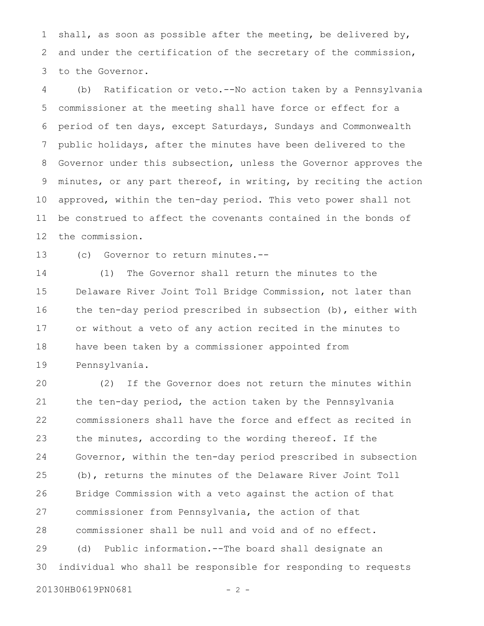shall, as soon as possible after the meeting, be delivered by, and under the certification of the secretary of the commission, to the Governor. 1 2 3

(b) Ratification or veto.--No action taken by a Pennsylvania commissioner at the meeting shall have force or effect for a period of ten days, except Saturdays, Sundays and Commonwealth public holidays, after the minutes have been delivered to the Governor under this subsection, unless the Governor approves the minutes, or any part thereof, in writing, by reciting the action approved, within the ten-day period. This veto power shall not be construed to affect the covenants contained in the bonds of the commission. 4 5 6 7 8 9 10 11 12

(c) Governor to return minutes.-- 13

(1) The Governor shall return the minutes to the Delaware River Joint Toll Bridge Commission, not later than the ten-day period prescribed in subsection (b), either with or without a veto of any action recited in the minutes to have been taken by a commissioner appointed from Pennsylvania. 14 15 16 17 18 19

(2) If the Governor does not return the minutes within the ten-day period, the action taken by the Pennsylvania commissioners shall have the force and effect as recited in the minutes, according to the wording thereof. If the Governor, within the ten-day period prescribed in subsection (b), returns the minutes of the Delaware River Joint Toll Bridge Commission with a veto against the action of that commissioner from Pennsylvania, the action of that commissioner shall be null and void and of no effect. (d) Public information.--The board shall designate an individual who shall be responsible for responding to requests 20 21 22 23 24 25 26 27 28 29 30

```
20130HB0619PN0681 - 2 -
```